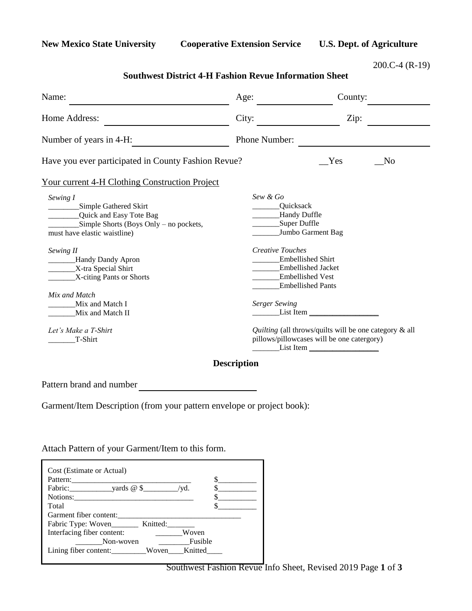**New Mexico State University Cooperative Extension Service U.S. Dept. of Agriculture**

200.C-4 (R-19)

| Age:          | County:                                                                                                                          |  |  |
|---------------|----------------------------------------------------------------------------------------------------------------------------------|--|--|
| City:         | Zip:                                                                                                                             |  |  |
| Phone Number: |                                                                                                                                  |  |  |
|               | Yes<br>N <sub>o</sub>                                                                                                            |  |  |
|               |                                                                                                                                  |  |  |
| Sew & Go      | Quicksack<br>Handy Duffle<br>Super Duffle<br>Jumbo Garment Bag                                                                   |  |  |
|               | <b>Creative Touches</b><br><b>Embellished Shirt</b><br>Embellished Jacket<br><b>Embellished Vest</b><br><b>Embellished Pants</b> |  |  |
|               | <b>Serger Sewing</b>                                                                                                             |  |  |
|               | Quilting (all throws/quilts will be one category & all<br>pillows/pillowcases will be one catergory)<br>List Item                |  |  |
|               | Have you ever participated in County Fashion Revue?<br><b>Your current 4-H Clothing Construction Project</b>                     |  |  |

## **Southwest District 4-H Fashion Revue Information Sheet**

Pattern brand and number

Garment/Item Description (from your pattern envelope or project book):

Attach Pattern of your Garment/Item to this form.

| Cost (Estimate or Actual)                                                    |       |         |  |
|------------------------------------------------------------------------------|-------|---------|--|
| Pattern:                                                                     |       |         |  |
| Fabric: $\qquad \qquad \text{ yards } @ \text{\$} \qquad \qquad \text{/yd.}$ |       |         |  |
| Notions:                                                                     |       |         |  |
| Total                                                                        |       |         |  |
| Garment fiber content:                                                       |       |         |  |
| Fabric Type: Woven__________ Knitted:___                                     |       |         |  |
| Interfacing fiber content:                                                   |       | Woven   |  |
| Non-woven                                                                    |       | Fusible |  |
| Lining fiber content:                                                        | Woven | Knitted |  |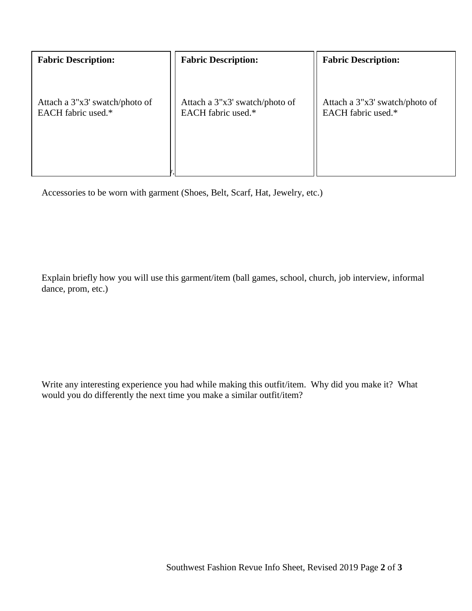| <b>Fabric Description:</b>     | <b>Fabric Description:</b>     | <b>Fabric Description:</b>     |
|--------------------------------|--------------------------------|--------------------------------|
| Attach a 3"x3' swatch/photo of | Attach a 3"x3' swatch/photo of | Attach a 3"x3' swatch/photo of |
| EACH fabric used.*             | EACH fabric used.*             | EACH fabric used.*             |

Accessories to be worn with garment (Shoes, Belt, Scarf, Hat, Jewelry, etc.)

Explain briefly how you will use this garment/item (ball games, school, church, job interview, informal dance, prom, etc.)

Write any interesting experience you had while making this outfit/item. Why did you make it? What would you do differently the next time you make a similar outfit/item?